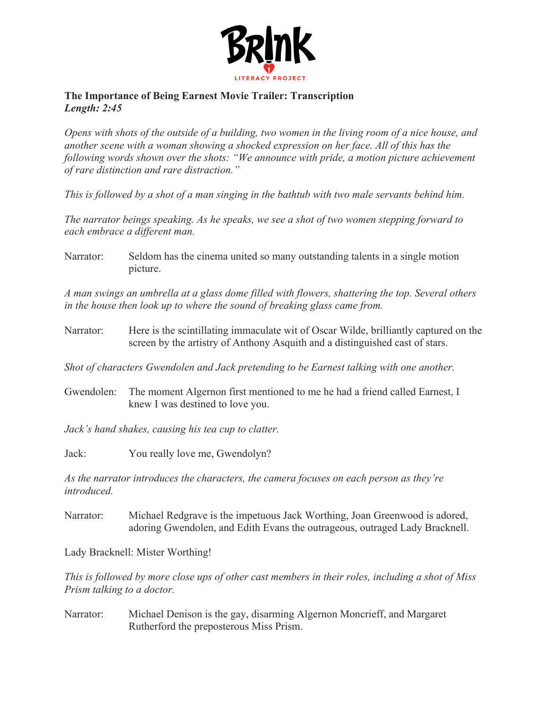

## **The Importance of Being Earnest Movie Trailer: Transcription** *Length: 2:45*

*Opens with shots of the outside of a building, two women in the living room of a nice house, and another scene with a woman showing a shocked expression on her face. All of this has the following words shown over the shots: "We announce with pride, a motion picture achievement of rare distinction and rare distraction."* 

*This is followed by a shot of a man singing in the bathtub with two male servants behind him.*

*The narrator beings speaking. As he speaks, we see a shot of two women stepping forward to each embrace a different man.*

Narrator: Seldom has the cinema united so many outstanding talents in a single motion picture.

*A man swings an umbrella at a glass dome filled with flowers, shattering the top. Several others in the house then look up to where the sound of breaking glass came from.*

Narrator: Here is the scintillating immaculate wit of Oscar Wilde, brilliantly captured on the screen by the artistry of Anthony Asquith and a distinguished cast of stars.

*Shot of characters Gwendolen and Jack pretending to be Earnest talking with one another.*

Gwendolen: The moment Algernon first mentioned to me he had a friend called Earnest, I knew I was destined to love you.

*Jack's hand shakes, causing his tea cup to clatter.*

Jack: You really love me, Gwendolyn?

*As the narrator introduces the characters, the camera focuses on each person as they're introduced.*

Narrator: Michael Redgrave is the impetuous Jack Worthing, Joan Greenwood is adored, adoring Gwendolen, and Edith Evans the outrageous, outraged Lady Bracknell.

Lady Bracknell: Mister Worthing!

*This is followed by more close ups of other cast members in their roles, including a shot of Miss Prism talking to a doctor.*

Narrator: Michael Denison is the gay, disarming Algernon Moncrieff, and Margaret Rutherford the preposterous Miss Prism.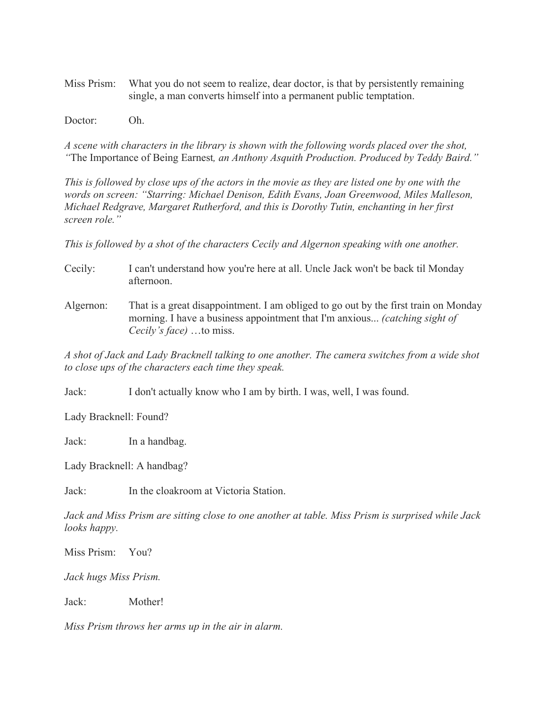Miss Prism: What you do not seem to realize, dear doctor, is that by persistently remaining single, a man converts himself into a permanent public temptation.

Doctor: Oh.

*A scene with characters in the library is shown with the following words placed over the shot, "*The Importance of Being Earnest*, an Anthony Asquith Production. Produced by Teddy Baird."*

*This is followed by close ups of the actors in the movie as they are listed one by one with the words on screen: "Starring: Michael Denison, Edith Evans, Joan Greenwood, Miles Malleson, Michael Redgrave, Margaret Rutherford, and this is Dorothy Tutin, enchanting in her first screen role."*

*This is followed by a shot of the characters Cecily and Algernon speaking with one another.*

- Cecily: I can't understand how you're here at all. Uncle Jack won't be back til Monday afternoon.
- Algernon: That is a great disappointment. I am obliged to go out by the first train on Monday morning. I have a business appointment that I'm anxious... *(catching sight of Cecily's face)* …to miss.

*A shot of Jack and Lady Bracknell talking to one another. The camera switches from a wide shot to close ups of the characters each time they speak.*

Jack: I don't actually know who I am by birth. I was, well, I was found.

Lady Bracknell: Found?

Jack: In a handbag.

Lady Bracknell: A handbag?

Jack: In the cloakroom at Victoria Station.

*Jack and Miss Prism are sitting close to one another at table. Miss Prism is surprised while Jack looks happy.*

Miss Prism: You?

*Jack hugs Miss Prism.*

Jack: Mother!

*Miss Prism throws her arms up in the air in alarm.*